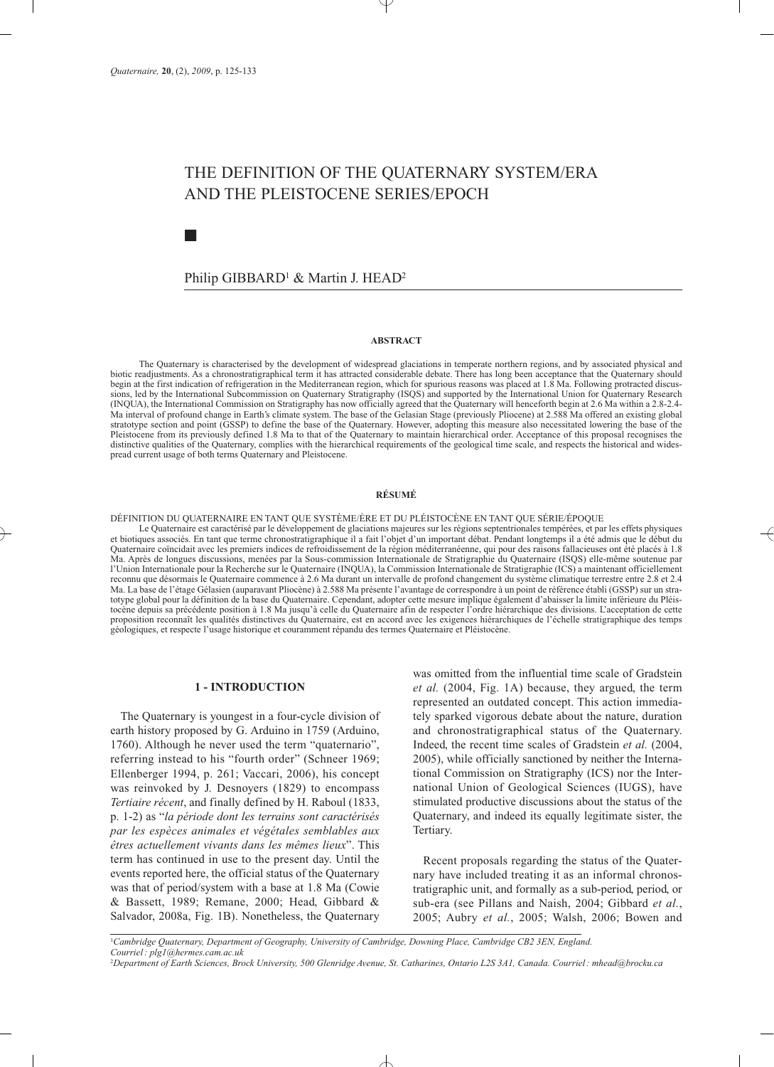■

# THE DEFINITION OF THE QUATERNARY SYSTEM/ERA AND THE PLEISTOCENE SERIES/EPOCH

# Philip GIBBARD1 & Martin J. HEAD2

#### **ABSTRACT**

The Quaternary is characterised by the development of widespread glaciations in temperate northern regions, and by associated physical and biotic readjustments. As a chronostratigraphical term it has attracted considerable debate. There has long been acceptance that the Quaternary should begin at the first indication of refrigeration in the Mediterranean region, which for spurious reasons was placed at 1.8 Ma. Following protracted discussions, led by the International Subcommission on Quaternary Stratigraphy (ISQS) and supported by the International Union for Quaternary Research (INQUA), the International Commission on Stratigraphy has now officially agreed that the Quaternary will henceforth begin at 2.6 Ma within a 2.8-2.4- Ma interval of profound change in Earth's climate system. The base of the Gelasian Stage (previously Pliocene) at 2.588 Ma offered an existing global stratotype section and point (GSSP) to define the base of the Quaternary. However, adopting this measure also necessitated lowering the base of the Pleistocene from its previously defined 1.8 Ma to that of the Quaternary to maintain hierarchical order. Acceptance of this proposal recognises the distinctive qualities of the Quaternary, complies with the hierarchical requirements of the geological time scale, and respects the historical and widespread current usage of both terms Quaternary and Pleistocene.

## **RÉSUMÉ**

DÉFINITION DU QUATERNAIRE EN TANT QUE SYSTÈME/ÈRE ET DU PLÉISTOCÈNE EN TANT QUE SÉRIE/ÉPOQUE

Le Quaternaire est caractérisé par le développement de glaciations majeures sur les régions septentrionales tempérées, et par les effets physiques et biotiques associés. En tant que terme chronostratigraphique il a fait l'objet d'un important débat. Pendant longtemps il a été admis que le début du Quaternaire coïncidait avec les premiers indices de refroidissement de la région méditerranéenne, qui pour des raisons fallacieuses ont été placés à 1.8 Ma. Après de longues discussions, menées par la Sous-commission Internationale de Stratigraphie du Quaternaire (ISQS) elle-même soutenue par l'Union Internationale pour la Recherche sur le Quaternaire (INQUA), la Commission Internationale de Stratigraphie (ICS) a maintenant officiellement reconnu que désormais le Quaternaire commence à 2.6 Ma durant un intervalle de profond changement du système climatique terrestre entre 2.8 et 2.4 Ma. La base de l'étage Gélasien (auparavant Pliocène) à 2.588 Ma présente l'avantage de correspondre à un point de référence établi (GSSP) sur un stratotype global pour la définition de la base du Quaternaire. Cependant, adopter cette mesure implique également d'abaisser la limite inférieure du Pléistocène depuis sa précédente position à 1.8 Ma jusqu'à celle du Quaternaire afin de respecter l'ordre hiérarchique des divisions. L'acceptation de cette proposition reconnaît les qualités distinctives du Quaternaire, est en accord avec les exigences hiérarchiques de l'échelle stratigraphique des temps géologiques, et respecte l'usage historique et couramment répandu des termes Quaternaire et Pléistocène.

#### **1 - INTRODUCTION**

The Quaternary is youngest in a four-cycle division of earth history proposed by G. Arduino in 1759 (Arduino, 1760). Although he never used the term "quaternario", referring instead to his "fourth order" (Schneer 1969; Ellenberger 1994, p. 261; Vaccari, 2006), his concept was reinvoked by J. Desnoyers (1829) to encompass *Tertiaire récent*, and finally defined by H. Raboul (1833, p. 1-2) as "*la période dont les terrains sont caractérisés par les espèces animales et végétales semblables aux êtres actuellement vivants dans les mêmes lieux*". This term has continued in use to the present day. Until the events reported here, the official status of the Quaternary was that of period/system with a base at 1.8 Ma (Cowie & Bassett, 1989; Remane, 2000; Head, Gibbard & Salvador, 2008a, Fig. 1B). Nonetheless, the Quaternary

was omitted from the influential time scale of Gradstein *et al.* (2004, Fig. 1A) because, they argued, the term represented an outdated concept. This action immediately sparked vigorous debate about the nature, duration and chronostratigraphical status of the Quaternary. Indeed, the recent time scales of Gradstein *et al.* (2004, 2005), while officially sanctioned by neither the International Commission on Stratigraphy (ICS) nor the International Union of Geological Sciences (IUGS), have stimulated productive discussions about the status of the Quaternary, and indeed its equally legitimate sister, the Tertiary.

Recent proposals regarding the status of the Quaternary have included treating it as an informal chronostratigraphic unit, and formally as a sub-period, period, or sub-era (see Pillans and Naish, 2004; Gibbard *et al.*, 2005; Aubry *et al.*, 2005; Walsh, 2006; Bowen and

<sup>1</sup>*Cambridge Quaternary, Department of Geography, University of Cambridge, Downing Place, Cambridge CB2 3EN, England. Courriel: plg1@hermes.cam.ac.uk* <sup>2</sup>*Department of Earth Sciences, Brock University, 500 Glenridge Avenue, St. Catharines, Ontario L2S 3A1, Canada. Courriel: mhead@brocku.ca*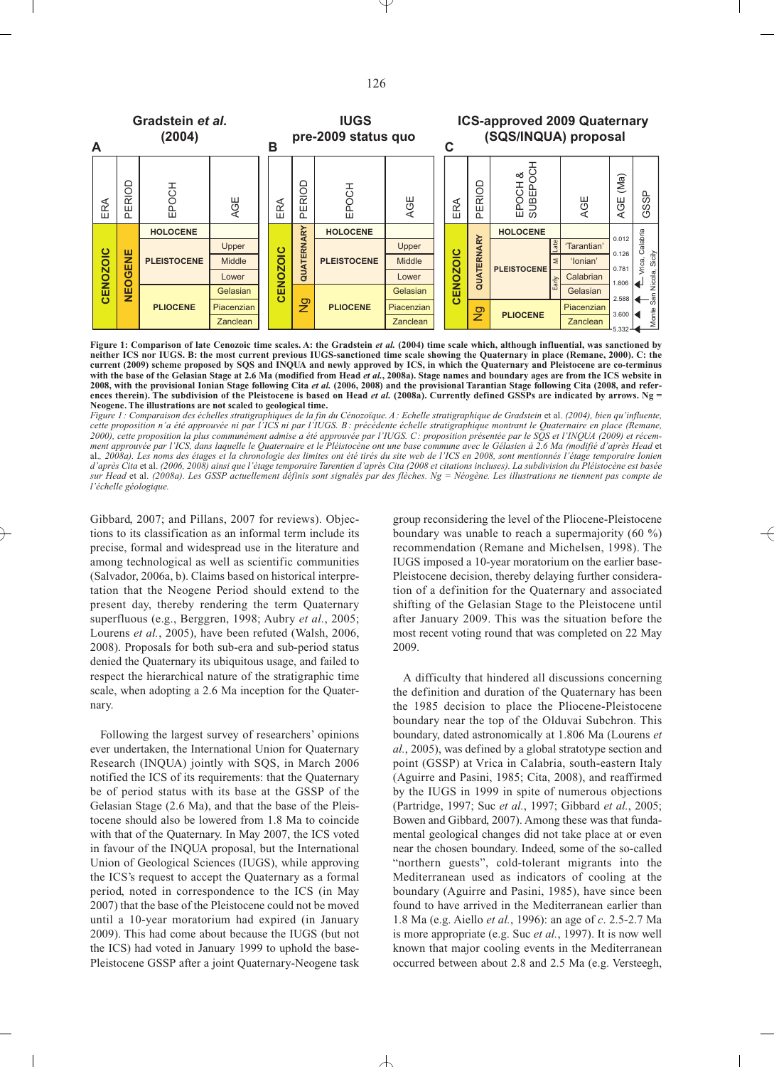

**Figure 1: Comparison of late Cenozoic time scales. A: the Gradstein** *et al.* **(2004) time scale which, although influential, was sanctioned by neither ICS nor IUGS. B: the most current previous IUGS-sanctioned time scale showing the Quaternary in place (Remane, 2000). C: the current (2009) scheme proposed by SQS and INQUA and newly approved by ICS, in which the Quaternary and Pleistocene are co-terminus with the base of the Gelasian Stage at 2.6 Ma (modified from Head** *et al.***, 2008a). Stage names and boundary ages are from the ICS website in 2008, with the provisional Ionian Stage following Cita** *et al.* **(2006, 2008) and the provisional Tarantian Stage following Cita (2008, and references therein). The subdivision of the Pleistocene is based on Head** *et al.* **(2008a). Currently defined GSSPs are indicated by arrows. Ng = Neogene.The illustrations are not scaled to geological time.**

*Figure 1: Comparaison des échelles stratigraphiques de la fin du Cénozoïque. A: Echelle stratigraphique de Gradstein* et al. *(2004), bien qu'influente, cette proposition n'a été approuvée ni par l'ICS ni par l'IUGS. B: précédente échelle stratigraphique montrant le Quaternaire en place (Remane, 2000), cette proposition la plus communément admise a été approuvée par l'IUGS. C: proposition présentée par le SQS et l'INQUA (2009) et récemment approuvée par l'ICS, dans laquelle le Quaternaire et le Pléistocène ont une base commune avec le Gélasien à 2.6 Ma (modifié d'après Head* et al.*, 2008a). Les noms des étages et la chronologie des limites ont été tirés du site web de l'ICS en 2008, sont mentionnés l'étage temporaire Ionien d'après Cita* et al. *(2006, 2008) ainsi que l'étage temporaire Tarentien d'après Cita (2008 et citations incluses). La subdivision du Pléistocène est basée sur Head* et al. *(2008a). Les GSSP actuellement définis sont signalés par des flèches. Ng = Néogène. Les illustrations ne tiennent pas compte de l'échelle géologique.*

Gibbard, 2007; and Pillans, 2007 for reviews). Objections to its classification as an informal term include its precise, formal and widespread use in the literature and among technological as well as scientific communities (Salvador, 2006a, b). Claims based on historical interpretation that the Neogene Period should extend to the present day, thereby rendering the term Quaternary superfluous (e.g., Berggren, 1998; Aubry *et al.*, 2005; Lourens *et al.*, 2005), have been refuted (Walsh, 2006, 2008). Proposals for both sub-era and sub-period status denied the Quaternary its ubiquitous usage, and failed to respect the hierarchical nature of the stratigraphic time scale, when adopting a 2.6 Ma inception for the Quaternary.

Following the largest survey of researchers' opinions ever undertaken, the International Union for Quaternary Research (INQUA) jointly with SQS, in March 2006 notified the ICS of its requirements: that the Quaternary be of period status with its base at the GSSP of the Gelasian Stage (2.6 Ma), and that the base of the Pleistocene should also be lowered from 1.8 Ma to coincide with that of the Quaternary. In May 2007, the ICS voted in favour of the INQUA proposal, but the International Union of Geological Sciences (IUGS), while approving the ICS's request to accept the Quaternary as a formal period, noted in correspondence to the ICS (in May 2007) that the base of the Pleistocene could not be moved until a 10-year moratorium had expired (in January 2009). This had come about because the IUGS (but not the ICS) had voted in January 1999 to uphold the base-Pleistocene GSSP after a joint Quaternary-Neogene task

group reconsidering the level of the Pliocene-Pleistocene boundary was unable to reach a supermajority (60 %) recommendation (Remane and Michelsen, 1998). The IUGS imposed a 10-year moratorium on the earlier base-Pleistocene decision, thereby delaying further consideration of a definition for the Quaternary and associated shifting of the Gelasian Stage to the Pleistocene until after January 2009. This was the situation before the most recent voting round that was completed on 22 May 2009.

A difficulty that hindered all discussions concerning the definition and duration of the Quaternary has been the 1985 decision to place the Pliocene-Pleistocene boundary near the top of the Olduvai Subchron. This boundary, dated astronomically at 1.806 Ma (Lourens *et al.*, 2005), was defined by a global stratotype section and point (GSSP) at Vrica in Calabria, south-eastern Italy (Aguirre and Pasini, 1985; Cita, 2008), and reaffirmed by the IUGS in 1999 in spite of numerous objections (Partridge, 1997; Suc *et al.*, 1997; Gibbard *et al.*, 2005; Bowen and Gibbard, 2007). Among these was that fundamental geological changes did not take place at or even near the chosen boundary. Indeed, some of the so-called "northern guests", cold-tolerant migrants into the Mediterranean used as indicators of cooling at the boundary (Aguirre and Pasini, 1985), have since been found to have arrived in the Mediterranean earlier than 1.8 Ma (e.g. Aiello *et al.*, 1996): an age of *c*. 2.5-2.7 Ma is more appropriate (e.g. Suc *et al.*, 1997). It is now well known that major cooling events in the Mediterranean occurred between about 2.8 and 2.5 Ma (e.g. Versteegh,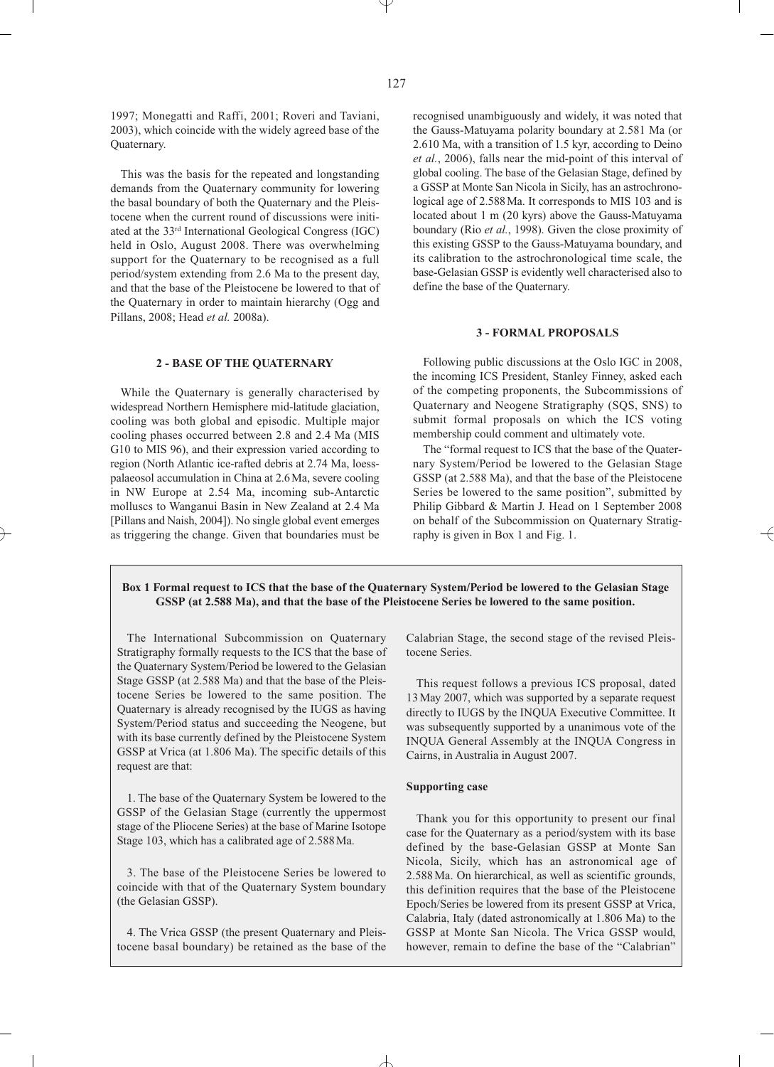1997; Monegatti and Raffi, 2001; Roveri and Taviani, 2003), which coincide with the widely agreed base of the Quaternary.

This was the basis for the repeated and longstanding demands from the Quaternary community for lowering the basal boundary of both the Quaternary and the Pleistocene when the current round of discussions were initiated at the 33rd International Geological Congress (IGC) held in Oslo, August 2008. There was overwhelming support for the Quaternary to be recognised as a full period/system extending from 2.6 Ma to the present day, and that the base of the Pleistocene be lowered to that of the Quaternary in order to maintain hierarchy (Ogg and Pillans, 2008; Head *et al.* 2008a).

## **2 - BASE OF THE QUATERNARY**

While the Quaternary is generally characterised by widespread Northern Hemisphere mid-latitude glaciation, cooling was both global and episodic. Multiple major cooling phases occurred between 2.8 and 2.4 Ma (MIS G10 to MIS 96), and their expression varied according to region (North Atlantic ice-rafted debris at 2.74 Ma, loesspalaeosol accumulation in China at 2.6Ma, severe cooling in NW Europe at 2.54 Ma, incoming sub-Antarctic molluscs to Wanganui Basin in New Zealand at 2.4 Ma [Pillans and Naish, 2004]). No single global event emerges as triggering the change. Given that boundaries must be

recognised unambiguously and widely, it was noted that the Gauss-Matuyama polarity boundary at 2.581 Ma (or 2.610 Ma, with a transition of 1.5 kyr, according to Deino *et al.*, 2006), falls near the mid-point of this interval of global cooling. The base of the Gelasian Stage, defined by a GSSP at Monte San Nicola in Sicily, has an astrochronological age of 2.588Ma. It corresponds to MIS 103 and is located about 1 m (20 kyrs) above the Gauss-Matuyama boundary (Rio *et al.*, 1998). Given the close proximity of this existing GSSP to the Gauss-Matuyama boundary, and its calibration to the astrochronological time scale, the base-Gelasian GSSP is evidently well characterised also to define the base of the Quaternary.

#### **3 - FORMAL PROPOSALS**

Following public discussions at the Oslo IGC in 2008, the incoming ICS President, Stanley Finney, asked each of the competing proponents, the Subcommissions of Quaternary and Neogene Stratigraphy (SQS, SNS) to submit formal proposals on which the ICS voting membership could comment and ultimately vote.

The "formal request to ICS that the base of the Quaternary System/Period be lowered to the Gelasian Stage GSSP (at 2.588 Ma), and that the base of the Pleistocene Series be lowered to the same position", submitted by Philip Gibbard & Martin J. Head on 1 September 2008 on behalf of the Subcommission on Quaternary Stratigraphy is given in Box 1 and Fig. 1.

## **Box 1 Formal request to ICS that the base of the Quaternary System/Period be lowered to the Gelasian Stage GSSP (at 2.588 Ma), and that the base of the Pleistocene Series be lowered to the same position.**

The International Subcommission on Quaternary Stratigraphy formally requests to the ICS that the base of the Quaternary System/Period be lowered to the Gelasian Stage GSSP (at 2.588 Ma) and that the base of the Pleistocene Series be lowered to the same position. The Quaternary is already recognised by the IUGS as having System/Period status and succeeding the Neogene, but with its base currently defined by the Pleistocene System GSSP at Vrica (at 1.806 Ma). The specific details of this request are that:

1. The base of the Quaternary System be lowered to the GSSP of the Gelasian Stage (currently the uppermost stage of the Pliocene Series) at the base of Marine Isotope Stage 103, which has a calibrated age of 2.588Ma.

3. The base of the Pleistocene Series be lowered to coincide with that of the Quaternary System boundary (the Gelasian GSSP).

4. The Vrica GSSP (the present Quaternary and Pleistocene basal boundary) be retained as the base of the Calabrian Stage, the second stage of the revised Pleistocene Series.

This request follows a previous ICS proposal, dated 13May 2007, which was supported by a separate request directly to IUGS by the INQUA Executive Committee. It was subsequently supported by a unanimous vote of the INQUA General Assembly at the INQUA Congress in Cairns, in Australia in August 2007.

#### **Supporting case**

Thank you for this opportunity to present our final case for the Quaternary as a period/system with its base defined by the base-Gelasian GSSP at Monte San Nicola, Sicily, which has an astronomical age of 2.588Ma. On hierarchical, as well as scientific grounds, this definition requires that the base of the Pleistocene Epoch/Series be lowered from its present GSSP at Vrica, Calabria, Italy (dated astronomically at 1.806 Ma) to the GSSP at Monte San Nicola. The Vrica GSSP would, however, remain to define the base of the "Calabrian"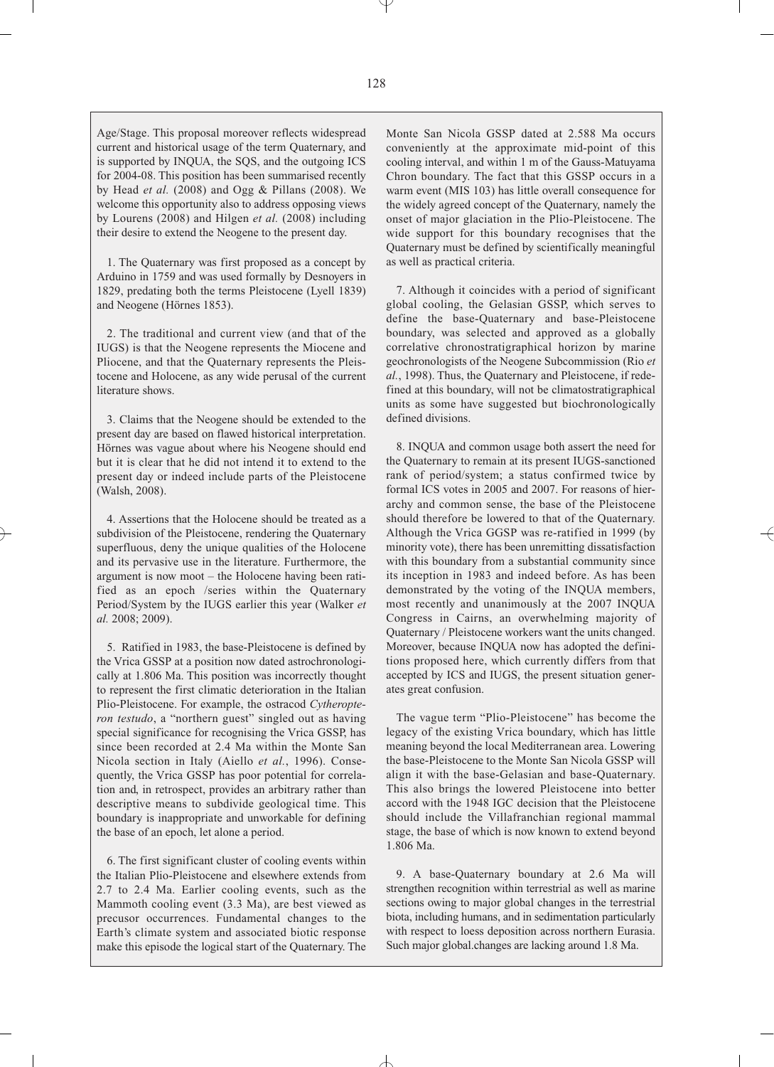Age/Stage. This proposal moreover reflects widespread current and historical usage of the term Quaternary, and is supported by INQUA, the SQS, and the outgoing ICS for 2004-08. This position has been summarised recently by Head *et al.* (2008) and Ogg & Pillans (2008). We welcome this opportunity also to address opposing views by Lourens (2008) and Hilgen *et al.* (2008) including their desire to extend the Neogene to the present day.

1. The Quaternary was first proposed as a concept by Arduino in 1759 and was used formally by Desnoyers in 1829, predating both the terms Pleistocene (Lyell 1839) and Neogene (Hörnes 1853).

2. The traditional and current view (and that of the IUGS) is that the Neogene represents the Miocene and Pliocene, and that the Quaternary represents the Pleistocene and Holocene, as any wide perusal of the current literature shows.

3. Claims that the Neogene should be extended to the present day are based on flawed historical interpretation. Hörnes was vague about where his Neogene should end but it is clear that he did not intend it to extend to the present day or indeed include parts of the Pleistocene (Walsh, 2008).

4. Assertions that the Holocene should be treated as a subdivision of the Pleistocene, rendering the Quaternary superfluous, deny the unique qualities of the Holocene and its pervasive use in the literature. Furthermore, the argument is now moot – the Holocene having been ratified as an epoch /series within the Quaternary Period/System by the IUGS earlier this year (Walker *et al.* 2008; 2009).

5. Ratified in 1983, the base-Pleistocene is defined by the Vrica GSSP at a position now dated astrochronologically at 1.806 Ma. This position was incorrectly thought to represent the first climatic deterioration in the Italian Plio-Pleistocene. For example, the ostracod *Cytheropteron testudo*, a "northern guest" singled out as having special significance for recognising the Vrica GSSP, has since been recorded at 2.4 Ma within the Monte San Nicola section in Italy (Aiello *et al.*, 1996). Consequently, the Vrica GSSP has poor potential for correlation and, in retrospect, provides an arbitrary rather than descriptive means to subdivide geological time. This boundary is inappropriate and unworkable for defining the base of an epoch, let alone a period.

6. The first significant cluster of cooling events within the Italian Plio-Pleistocene and elsewhere extends from 2.7 to 2.4 Ma. Earlier cooling events, such as the Mammoth cooling event (3.3 Ma), are best viewed as precusor occurrences. Fundamental changes to the Earth's climate system and associated biotic response make this episode the logical start of the Quaternary. The

Monte San Nicola GSSP dated at 2.588 Ma occurs conveniently at the approximate mid-point of this cooling interval, and within 1 m of the Gauss-Matuyama Chron boundary. The fact that this GSSP occurs in a warm event (MIS 103) has little overall consequence for the widely agreed concept of the Quaternary, namely the onset of major glaciation in the Plio-Pleistocene. The wide support for this boundary recognises that the Quaternary must be defined by scientifically meaningful as well as practical criteria.

7. Although it coincides with a period of significant global cooling, the Gelasian GSSP, which serves to define the base-Quaternary and base-Pleistocene boundary, was selected and approved as a globally correlative chronostratigraphical horizon by marine geochronologists of the Neogene Subcommission (Rio *et al.*, 1998). Thus, the Quaternary and Pleistocene, if redefined at this boundary, will not be climatostratigraphical units as some have suggested but biochronologically defined divisions.

8. INQUA and common usage both assert the need for the Quaternary to remain at its present IUGS-sanctioned rank of period/system; a status confirmed twice by formal ICS votes in 2005 and 2007. For reasons of hierarchy and common sense, the base of the Pleistocene should therefore be lowered to that of the Quaternary. Although the Vrica GGSP was re-ratified in 1999 (by minority vote), there has been unremitting dissatisfaction with this boundary from a substantial community since its inception in 1983 and indeed before. As has been demonstrated by the voting of the INQUA members, most recently and unanimously at the 2007 INQUA Congress in Cairns, an overwhelming majority of Quaternary / Pleistocene workers want the units changed. Moreover, because INQUA now has adopted the definitions proposed here, which currently differs from that accepted by ICS and IUGS, the present situation generates great confusion.

The vague term "Plio-Pleistocene" has become the legacy of the existing Vrica boundary, which has little meaning beyond the local Mediterranean area. Lowering the base-Pleistocene to the Monte San Nicola GSSP will align it with the base-Gelasian and base-Quaternary. This also brings the lowered Pleistocene into better accord with the 1948 IGC decision that the Pleistocene should include the Villafranchian regional mammal stage, the base of which is now known to extend beyond 1.806 Ma.

9. A base-Quaternary boundary at 2.6 Ma will strengthen recognition within terrestrial as well as marine sections owing to major global changes in the terrestrial biota, including humans, and in sedimentation particularly with respect to loess deposition across northern Eurasia. Such major global.changes are lacking around 1.8 Ma.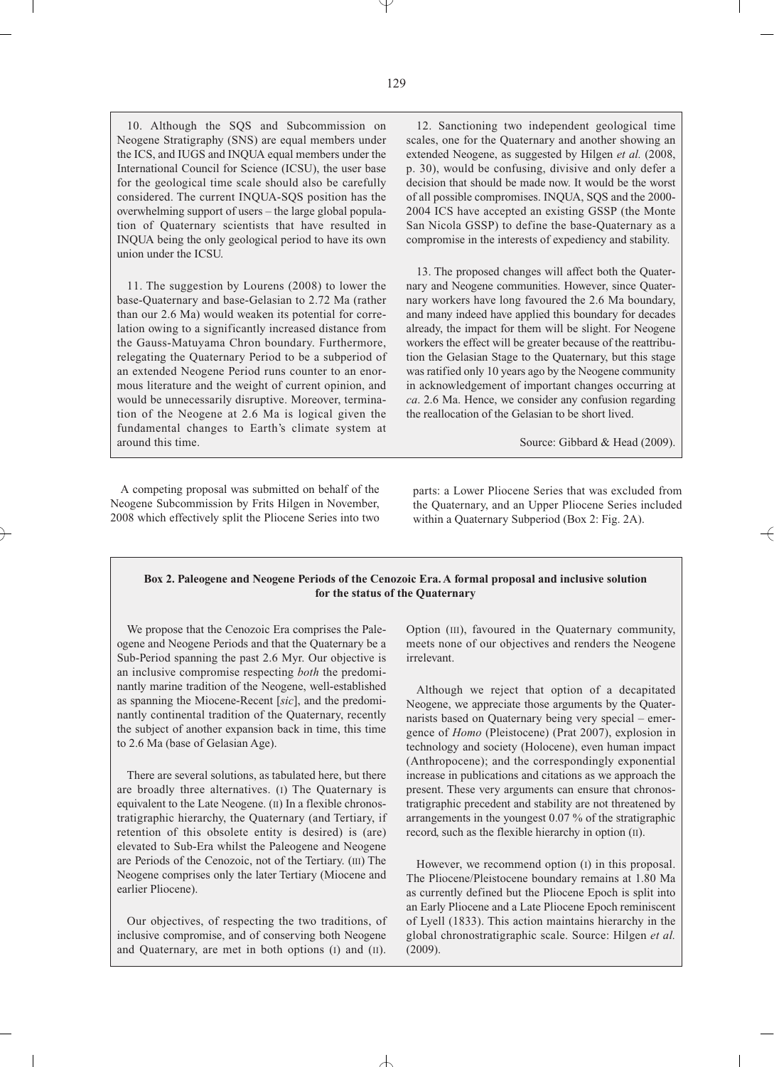10. Although the SQS and Subcommission on Neogene Stratigraphy (SNS) are equal members under the ICS, and IUGS and INQUA equal members under the International Council for Science (ICSU), the user base for the geological time scale should also be carefully considered. The current INQUA-SQS position has the overwhelming support of users – the large global population of Quaternary scientists that have resulted in INQUA being the only geological period to have its own union under the ICSU.

11. The suggestion by Lourens (2008) to lower the base-Quaternary and base-Gelasian to 2.72 Ma (rather than our 2.6 Ma) would weaken its potential for correlation owing to a significantly increased distance from the Gauss-Matuyama Chron boundary. Furthermore, relegating the Quaternary Period to be a subperiod of an extended Neogene Period runs counter to an enormous literature and the weight of current opinion, and would be unnecessarily disruptive. Moreover, termination of the Neogene at 2.6 Ma is logical given the fundamental changes to Earth's climate system at around this time.

A competing proposal was submitted on behalf of the Neogene Subcommission by Frits Hilgen in November, 2008 which effectively split the Pliocene Series into two

12. Sanctioning two independent geological time scales, one for the Quaternary and another showing an extended Neogene, as suggested by Hilgen *et al.* (2008, p. 30), would be confusing, divisive and only defer a decision that should be made now. It would be the worst of all possible compromises. INQUA, SQS and the 2000- 2004 ICS have accepted an existing GSSP (the Monte San Nicola GSSP) to define the base-Quaternary as a compromise in the interests of expediency and stability.

13. The proposed changes will affect both the Quaternary and Neogene communities. However, since Quaternary workers have long favoured the 2.6 Ma boundary, and many indeed have applied this boundary for decades already, the impact for them will be slight. For Neogene workers the effect will be greater because of the reattribution the Gelasian Stage to the Quaternary, but this stage was ratified only 10 years ago by the Neogene community in acknowledgement of important changes occurring at *ca*. 2.6 Ma. Hence, we consider any confusion regarding the reallocation of the Gelasian to be short lived.

Source: Gibbard & Head (2009).

parts: a Lower Pliocene Series that was excluded from the Quaternary, and an Upper Pliocene Series included within a Quaternary Subperiod (Box 2: Fig. 2A).

## **Box 2. Paleogene and Neogene Periods of the Cenozoic Era.A formal proposal and inclusive solution for the status of the Quaternary**

We propose that the Cenozoic Era comprises the Paleogene and Neogene Periods and that the Quaternary be a Sub-Period spanning the past 2.6 Myr. Our objective is an inclusive compromise respecting *both* the predominantly marine tradition of the Neogene, well-established as spanning the Miocene-Recent [*sic*], and the predominantly continental tradition of the Quaternary, recently the subject of another expansion back in time, this time to 2.6 Ma (base of Gelasian Age).

There are several solutions, as tabulated here, but there are broadly three alternatives. (I) The Quaternary is equivalent to the Late Neogene. (II) In a flexible chronostratigraphic hierarchy, the Quaternary (and Tertiary, if retention of this obsolete entity is desired) is (are) elevated to Sub-Era whilst the Paleogene and Neogene are Periods of the Cenozoic, not of the Tertiary. (III) The Neogene comprises only the later Tertiary (Miocene and earlier Pliocene).

Our objectives, of respecting the two traditions, of inclusive compromise, and of conserving both Neogene and Quaternary, are met in both options (I) and (II).

Option (III), favoured in the Quaternary community, meets none of our objectives and renders the Neogene irrelevant.

Although we reject that option of a decapitated Neogene, we appreciate those arguments by the Quaternarists based on Quaternary being very special – emergence of *Homo* (Pleistocene) (Prat 2007), explosion in technology and society (Holocene), even human impact (Anthropocene); and the correspondingly exponential increase in publications and citations as we approach the present. These very arguments can ensure that chronostratigraphic precedent and stability are not threatened by arrangements in the youngest 0.07 % of the stratigraphic record, such as the flexible hierarchy in option (II).

However, we recommend option (I) in this proposal. The Pliocene/Pleistocene boundary remains at 1.80 Ma as currently defined but the Pliocene Epoch is split into an Early Pliocene and a Late Pliocene Epoch reminiscent of Lyell (1833). This action maintains hierarchy in the global chronostratigraphic scale. Source: Hilgen *et al.* (2009).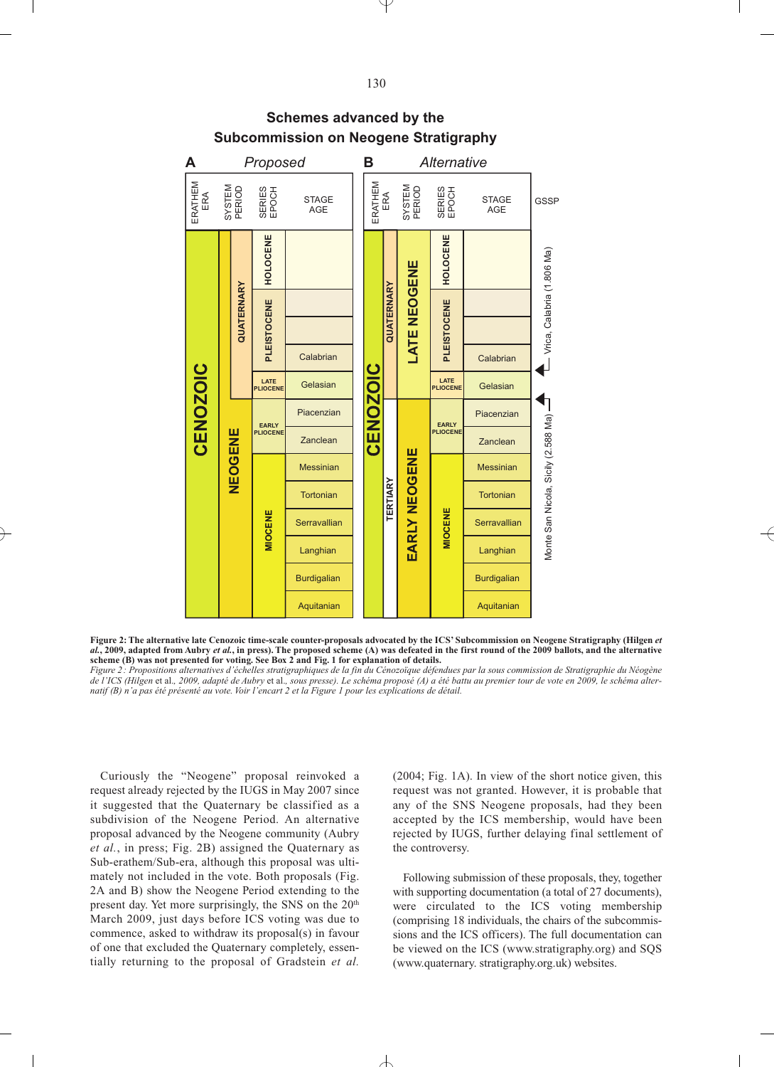

# **Schemes advanced by the Subcommission on Neogene Stratigraphy**

**Figure 2:The alternative late Cenozoic time-scale counter-proposals advocated by the ICS' Subcommission on Neogene Stratigraphy (Hilgen** *et al.***, 2009, adapted from Aubry** *et al.***, in press). The proposed scheme (A) was defeated in the first round of the 2009 ballots, and the alternative scheme (B) was not presented for voting. See Box 2 and Fig. 1 for explanation of details.**

*Figure 2: Propositions alternatives d'échelles stratigraphiques de la fin du Cénozoïque défendues par la sous commission de Stratigraphie du Néogène de l'ICS (Hilgen* et al.*, 2009, adapté de Aubry* et al.*, sous presse). Le schéma proposé (A) a été battu au premier tour de vote en 2009, le schéma alternatif (B) n'a pas été présenté au vote. Voir l'encart 2 et la Figure 1 pour les explications de détail.*

Curiously the "Neogene" proposal reinvoked a request already rejected by the IUGS in May 2007 since it suggested that the Quaternary be classified as a subdivision of the Neogene Period. An alternative proposal advanced by the Neogene community (Aubry *et al.*, in press; Fig. 2B) assigned the Quaternary as Sub-erathem/Sub-era, although this proposal was ultimately not included in the vote. Both proposals (Fig. 2A and B) show the Neogene Period extending to the present day. Yet more surprisingly, the SNS on the 20<sup>th</sup> March 2009, just days before ICS voting was due to commence, asked to withdraw its proposal(s) in favour of one that excluded the Quaternary completely, essentially returning to the proposal of Gradstein *et al.*

(2004; Fig. 1A). In view of the short notice given, this request was not granted. However, it is probable that any of the SNS Neogene proposals, had they been accepted by the ICS membership, would have been rejected by IUGS, further delaying final settlement of the controversy.

Following submission of these proposals, they, together with supporting documentation (a total of 27 documents), were circulated to the ICS voting membership (comprising 18 individuals, the chairs of the subcommissions and the ICS officers). The full documentation can be viewed on the ICS (www.stratigraphy.org) and SQS (www.quaternary. stratigraphy.org.uk) websites.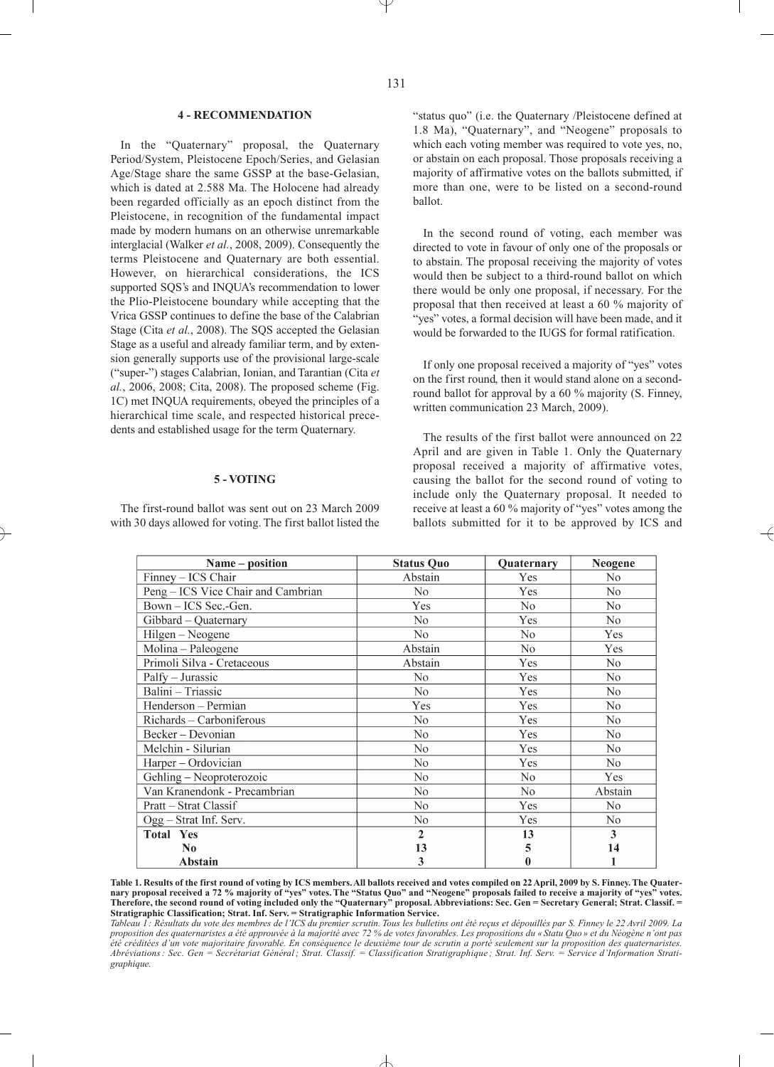### **4 - RECOMMENDATION**

In the "Quaternary" proposal, the Quaternary Period/System, Pleistocene Epoch/Series, and Gelasian Age/Stage share the same GSSP at the base-Gelasian, which is dated at 2.588 Ma. The Holocene had already been regarded officially as an epoch distinct from the Pleistocene, in recognition of the fundamental impact made by modern humans on an otherwise unremarkable interglacial (Walker *et al.*, 2008, 2009). Consequently the terms Pleistocene and Quaternary are both essential. However, on hierarchical considerations, the ICS supported SQS's and INQUA's recommendation to lower the Plio-Pleistocene boundary while accepting that the Vrica GSSP continues to define the base of the Calabrian Stage (Cita *et al.*, 2008). The SOS accepted the Gelasian Stage as a useful and already familiar term, and by extension generally supports use of the provisional large-scale ("super-") stages Calabrian, Ionian, and Tarantian (Cita *et al.*, 2006, 2008; Cita, 2008). The proposed scheme (Fig. 1C) met INQUA requirements, obeyed the principles of a hierarchical time scale, and respected historical precedents and established usage for the term Quaternary.

#### **5 - VOTING**

The first-round ballot was sent out on 23 March 2009 with 30 days allowed for voting. The first ballot listed the "status quo" (i.e. the Quaternary /Pleistocene defined at 1.8 Ma), "Quaternary", and "Neogene" proposals to which each voting member was required to vote yes, no, or abstain on each proposal. Those proposals receiving a majority of affirmative votes on the ballots submitted, if more than one, were to be listed on a second-round ballot.

In the second round of voting, each member was directed to vote in favour of only one of the proposals or to abstain. The proposal receiving the majority of votes would then be subject to a third-round ballot on which there would be only one proposal, if necessary. For the proposal that then received at least a 60 % majority of "yes" votes, a formal decision will have been made, and it would be forwarded to the IUGS for formal ratification.

If only one proposal received a majority of "yes" votes on the first round, then it would stand alone on a secondround ballot for approval by a 60 % majority (S. Finney, written communication 23 March, 2009).

The results of the first ballot were announced on 22 April and are given in Table 1. Only the Quaternary proposal received a majority of affirmative votes, causing the ballot for the second round of voting to include only the Quaternary proposal. It needed to receive at least a 60 % majority of "yes" votes among the ballots submitted for it to be approved by ICS and

| Name - position                    | <b>Status Quo</b> | Quaternary     | <b>Neogene</b> |
|------------------------------------|-------------------|----------------|----------------|
| Finney - ICS Chair                 | Abstain           | Yes            | No             |
| Peng - ICS Vice Chair and Cambrian | No                | Yes            | No             |
| Bown-ICS Sec.-Gen.                 | Yes               | N <sub>o</sub> | N <sub>o</sub> |
| Gibbard - Quaternary               | No.               | Yes            | N <sub>0</sub> |
| Hilgen - Neogene                   | No                | N <sub>o</sub> | Yes            |
| Molina - Paleogene                 | Abstain           | N <sub>o</sub> | Yes            |
| Primoli Silva - Cretaceous         | Abstain           | Yes            | N <sub>0</sub> |
| Palfy - Jurassic                   | No.               | Yes            | N <sub>o</sub> |
| Balini - Triassic                  | N <sub>0</sub>    | <b>Yes</b>     | N <sub>0</sub> |
| Henderson - Permian                | Yes               | Yes            | N <sub>0</sub> |
| Richards - Carboniferous           | N <sub>0</sub>    | Yes            | N <sub>0</sub> |
| Becker - Devonian                  | No                | Yes            | No             |
| Melchin - Silurian                 | N <sub>0</sub>    | Yes            | No             |
| Harper - Ordovician                | N <sub>0</sub>    | Yes            | No             |
| Gehling - Neoproterozoic           | No                | N <sub>0</sub> | Yes            |
| Van Kranendonk - Precambrian       | N <sub>0</sub>    | No             | Abstain        |
| Pratt – Strat Classif              | No                | Yes            | N <sub>0</sub> |
| Ogg - Strat Inf. Serv.             | No                | Yes            | No             |
| <b>Total Yes</b>                   | $\overline{2}$    | 13             | $\mathbf{3}$   |
| N <sub>0</sub>                     | 13                | 5              | 14             |
| <b>Abstain</b>                     | 3                 | $\bf{0}$       |                |

**Table 1. Results of the first round of voting by ICS members.All ballots received and votes compiled on 22 April, 2009 by S. Finney.The Quaternary proposal received a 72 % majority of "yes" votes. The "Status Quo" and "Neogene" proposals failed to receive a majority of "yes" votes. Therefore, the second round of voting included only the "Quaternary" proposal.Abbreviations: Sec. Gen = Secretary General; Strat. Classif. = Stratigraphic Classification; Strat. Inf. Serv. = Stratigraphic Information Service.**

*Tableau 1 : Résultats du vote des membres de l'ICS du premier scrutin. Tous les bulletins ont été reçus et dépouillés par S. Finney le 22 Avril 2009. La proposition des quaternaristes a été approuvée à la majorité avec 72 % de votes favorables. Les propositions du « Statu Quo » et du Néogène n'ont pas été créditées d'un vote majoritaire favorable. En conséquence le deuxième tour de scrutin a porté seulement sur la proposition des quaternaristes. Abréviations: Sec. Gen = Secrétariat Général; Strat. Classif. = Classification Stratigraphique ; Strat. Inf. Serv. = Service d'Information Stratigraphique.*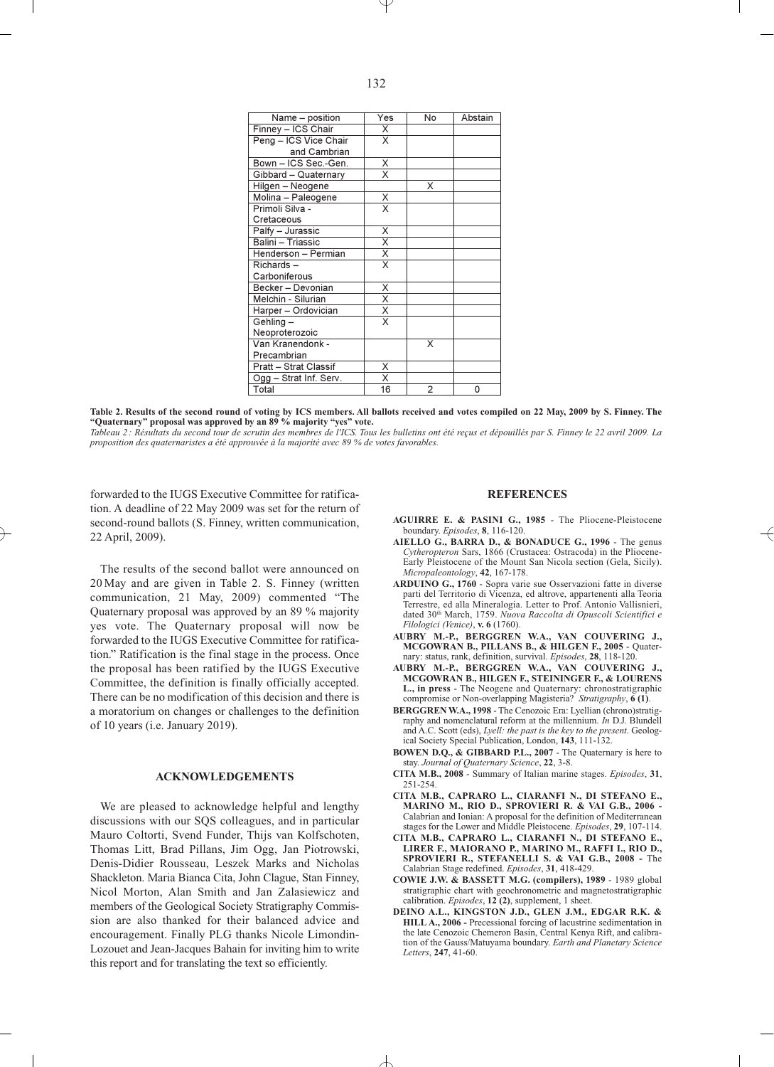| Name - position        | Yes                                 | <b>No</b>      | Abstain |
|------------------------|-------------------------------------|----------------|---------|
| Finney - ICS Chair     | X                                   |                |         |
| Peng - ICS Vice Chair  | X                                   |                |         |
| and Cambrian           |                                     |                |         |
| Bown - ICS Sec.-Gen.   | $\overline{\mathsf{x}}$             |                |         |
| Gibbard - Quaternary   | X                                   |                |         |
| Hilgen - Neogene       |                                     | X              |         |
| Molina - Paleogene     | Χ                                   |                |         |
| Primoli Silva -        | $\overline{\mathsf{x}}$             |                |         |
| Cretaceous             |                                     |                |         |
| Palfy - Jurassic       | X                                   |                |         |
| Balini - Triassic      | $\overline{\mathsf{x}}$             |                |         |
| Henderson - Permian    | $\frac{\overline{x}}{\overline{x}}$ |                |         |
| Richards-              |                                     |                |         |
| Carboniferous          |                                     |                |         |
| Becker - Devonian      | X                                   |                |         |
| Melchin - Silurian     | $\overline{\mathsf{x}}$             |                |         |
| Harper - Ordovician    | $\overline{\mathsf{x}}$             |                |         |
| Gehling-               | $\overline{\mathsf{x}}$             |                |         |
| Neoproterozoic         |                                     |                |         |
| Van Kranendonk -       |                                     | X              |         |
| Precambrian            |                                     |                |         |
| Pratt - Strat Classif  | Χ                                   |                |         |
| Ogg - Strat Inf. Serv. | $\overline{\mathsf{x}}$             |                |         |
| Total                  | 16                                  | $\overline{2}$ | 0       |

**Table 2. Results of the second round of voting by ICS members. All ballots received and votes compiled on 22 May, 2009 by S. Finney. The "Quaternary" proposal was approved by an 89 % majority "yes" vote.**

*Tableau 2 : Résultats du second tour de scrutin des membres de l'ICS. Tous les bulletins ont été reçus et dépouillés par S. Finney le 22 avril 2009. La proposition des quaternaristes a été approuvée à la majorité avec 89 % de votes favorables.*

forwarded to the IUGS Executive Committee for ratification. A deadline of 22 May 2009 was set for the return of second-round ballots (S. Finney, written communication, 22 April, 2009).

The results of the second ballot were announced on 20 May and are given in Table 2. S. Finney (written communication, 21 May, 2009) commented "The Quaternary proposal was approved by an 89 % majority yes vote. The Quaternary proposal will now be forwarded to the IUGS Executive Committee for ratification." Ratification is the final stage in the process. Once the proposal has been ratified by the IUGS Executive Committee, the definition is finally officially accepted. There can be no modification of this decision and there is a moratorium on changes or challenges to the definition of 10 years (i.e. January 2019).

#### **ACKNOWLEDGEMENTS**

We are pleased to acknowledge helpful and lengthy discussions with our SQS colleagues, and in particular Mauro Coltorti, Svend Funder, Thijs van Kolfschoten, Thomas Litt, Brad Pillans, Jim Ogg, Jan Piotrowski, Denis-Didier Rousseau, Leszek Marks and Nicholas Shackleton. Maria Bianca Cita, John Clague, Stan Finney, Nicol Morton, Alan Smith and Jan Zalasiewicz and members of the Geological Society Stratigraphy Commission are also thanked for their balanced advice and encouragement. Finally PLG thanks Nicole Limondin-Lozouet and Jean-Jacques Bahain for inviting him to write this report and for translating the text so efficiently.

### **REFERENCES**

- **AGUIRRE E. & PASINI G., 1985** The Pliocene-Pleistocene boundary. *Episodes*, **8**, 116-120.
- **AIELLO G., BARRA D., & BONADUCE G., 1996** The genus *Cytheropteron* Sars, 1866 (Crustacea: Ostracoda) in the Pliocene-Early Pleistocene of the Mount San Nicola section (Gela, Sicily). *Micropaleontology*, **42**, 167-178.
- **ARDUINO G., 1760** Sopra varie sue Osservazioni fatte in diverse parti del Territorio di Vicenza, ed altrove, appartenenti alla Teoria Terrestre, ed alla Mineralogia. Letter to Prof. Antonio Vallisnieri, dated 30th March, 1759. *Nuova Raccolta di Opuscoli Scientifici e Filologici (Venice)*, **v. 6** (1760).
- **AUBRY M.-P., BERGGREN W.A., VAN COUVERING J., MCGOWRAN B., PILLANS B., & HILGEN F., 2005** - Quaternary: status, rank, definition, survival. *Episodes*, **28**, 118-120.
- **AUBRY M.-P., BERGGREN W.A., VAN COUVERING J., MCGOWRAN B., HILGEN F., STEININGER F., & LOURENS L., in press** - The Neogene and Quaternary: chronostratigraphic compromise or Non-overlapping Magisteria? *Stratigraphy*, **6 (1)**.
- **BERGGREN W.A., 1998** The Cenozoic Era: Lyellian (chrono)stratigraphy and nomenclatural reform at the millennium. *In* D.J. Blundell and A.C. Scott (eds), *Lyell: the past is the key to the present*. Geological Society Special Publication, London, **143**, 111-132.
- **BOWEN D.Q., & GIBBARD P.L., 2007** The Quaternary is here to stay. *Journal of Quaternary Science*, **22**, 3-8.
- **CITA M.B., 2008** Summary of Italian marine stages. *Episodes*, **31**, 251-254.
- **CITA M.B., CAPRARO L., CIARANFI N., DI STEFANO E., MARINO M., RIO D., SPROVIERI R. & VAI G.B., 2006 -** Calabrian and Ionian: A proposal for the definition of Mediterranean stages for the Lower and Middle Pleistocene. *Episodes*, **29**, 107-114.
- **CITA M.B., CAPRARO L., CIARANFI N., DI STEFANO E., LIRER F., MAIORANO P., MARINO M., RAFFI I., RIO D., SPROVIERI R., STEFANELLI S. & VAI G.B., 2008 -** The Calabrian Stage redefined. *Episodes*, **31**, 418-429.
- **COWIE J.W. & BASSETT M.G. (compilers), 1989** 1989 global stratigraphic chart with geochronometric and magnetostratigraphic calibration. *Episodes*, **12 (2)**, supplement, 1 sheet.
- **DEINO A.L., KINGSTON J.D., GLEN J.M., EDGAR R.K. & HILL A., 2006 -** Precessional forcing of lacustrine sedimentation in the late Cenozoic Chemeron Basin, Central Kenya Rift, and calibration of the Gauss/Matuyama boundary. *Earth and Planetary Science Letters*, **247**, 41-60.